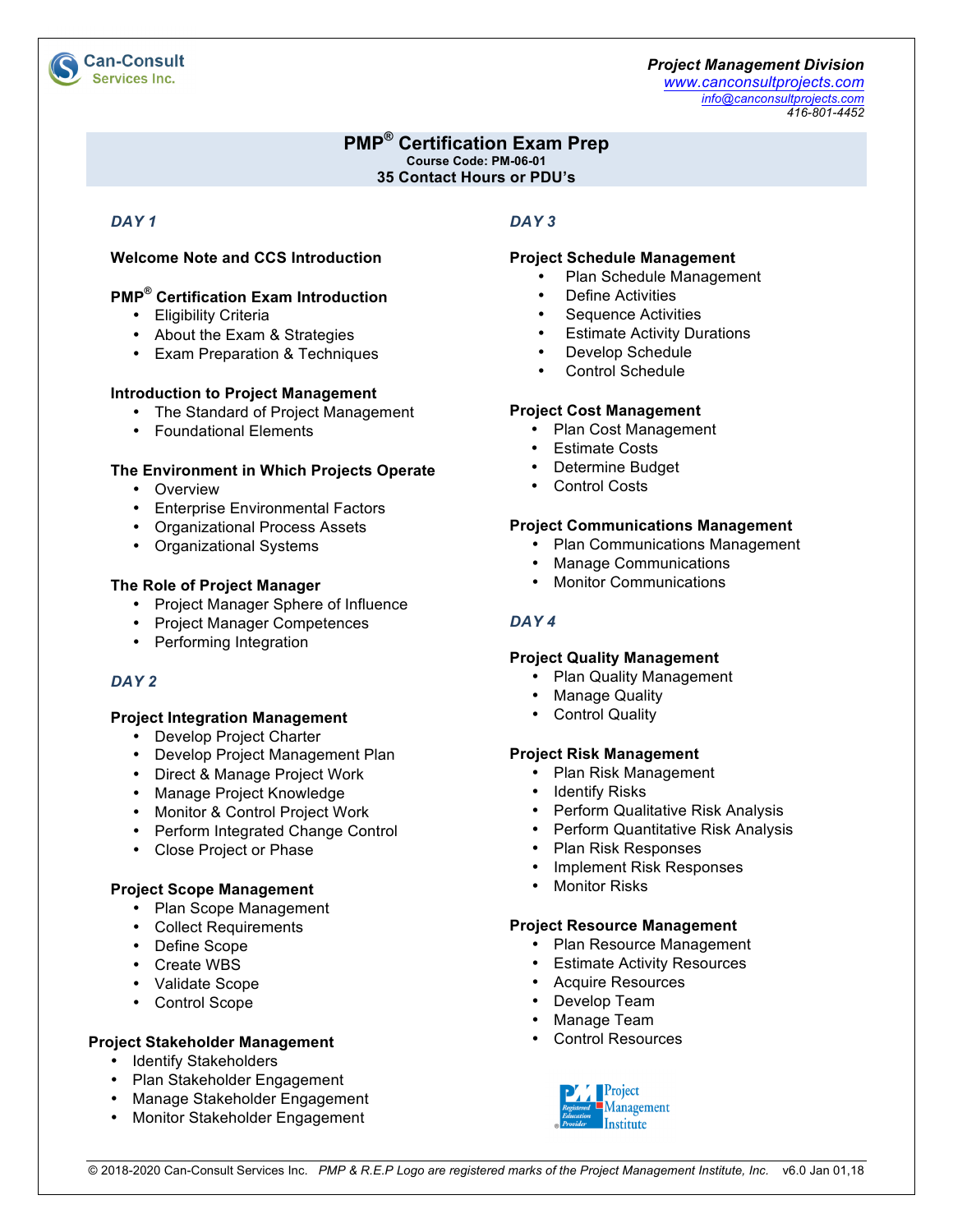

# **PMP® Certification Exam Prep Course Code: PM-06-01**

**35 Contact Hours or PDU's**

# *DAY 1*

# **Welcome Note and CCS Introduction**

# **PMP® Certification Exam Introduction**

- Eligibility Criteria
- About the Exam & Strategies
- Exam Preparation & Techniques

### **Introduction to Project Management**

- The Standard of Project Management
- Foundational Elements

# **The Environment in Which Projects Operate**

- Overview
- Enterprise Environmental Factors
- Organizational Process Assets
- Organizational Systems

# **The Role of Project Manager**

- Project Manager Sphere of Influence
- Project Manager Competences
- Performing Integration

# *DAY 2*

# **Project Integration Management**

- Develop Project Charter
- Develop Project Management Plan
- Direct & Manage Project Work
- Manage Project Knowledge
- Monitor & Control Project Work
- Perform Integrated Change Control
- Close Project or Phase

# **Project Scope Management**

- Plan Scope Management
- Collect Requirements
- Define Scope
- Create WBS
- Validate Scope
- Control Scope

# **Project Stakeholder Management**

- Identify Stakeholders
- Plan Stakeholder Engagement
- Manage Stakeholder Engagement
- Monitor Stakeholder Engagement

# *DAY 3*

### **Project Schedule Management**

- Plan Schedule Management
- Define Activities
- Sequence Activities
- **Estimate Activity Durations**
- Develop Schedule
- Control Schedule

### **Project Cost Management**

- Plan Cost Management
- Estimate Costs
- Determine Budget
- Control Costs

### **Project Communications Management**

- Plan Communications Management
- Manage Communications
- Monitor Communications

# *DAY 4*

# **Project Quality Management**

- Plan Quality Management
- Manage Quality
- Control Quality

# **Project Risk Management**

- Plan Risk Management
- Identify Risks
- Perform Qualitative Risk Analysis
- Perform Quantitative Risk Analysis
- Plan Risk Responses
- Implement Risk Responses
- Monitor Risks

#### **Project Resource Management**

- Plan Resource Management
- Estimate Activity Resources
- Acquire Resources
- Develop Team
- Manage Team
- Control Resources



# **Can-Consult Services Inc.**